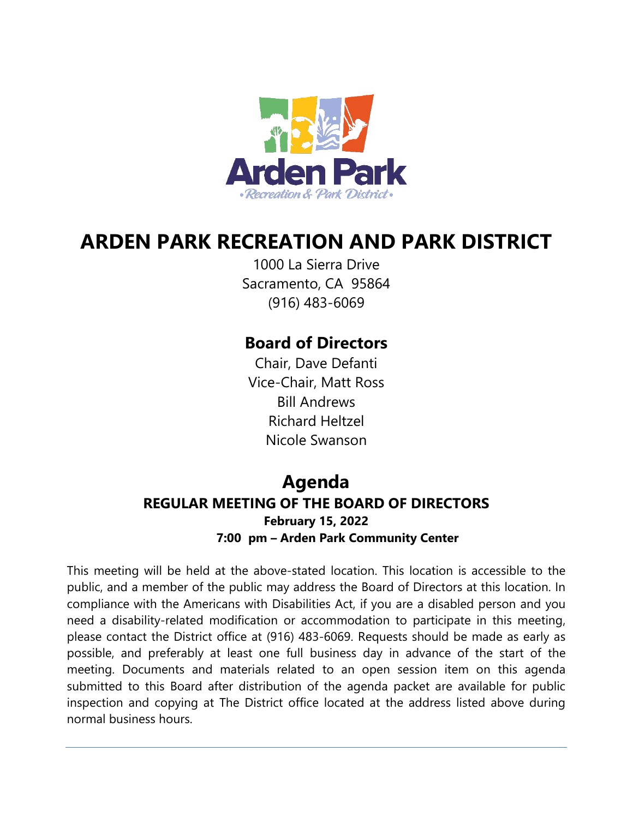

# **ARDEN PARK RECREATION AND PARK DISTRICT**

1000 La Sierra Drive Sacramento, CA 95864 (916) 483-6069

# **Board of Directors**

Chair, Dave Defanti Vice-Chair, Matt Ross Bill Andrews Richard Heltzel Nicole Swanson

# **Agenda REGULAR MEETING OF THE BOARD OF DIRECTORS February 15, 2022 7:00 pm – Arden Park Community Center**

This meeting will be held at the above-stated location. This location is accessible to the public, and a member of the public may address the Board of Directors at this location. In compliance with the Americans with Disabilities Act, if you are a disabled person and you need a disability-related modification or accommodation to participate in this meeting, please contact the District office at (916) 483-6069. Requests should be made as early as possible, and preferably at least one full business day in advance of the start of the meeting. Documents and materials related to an open session item on this agenda submitted to this Board after distribution of the agenda packet are available for public inspection and copying at The District office located at the address listed above during normal business hours.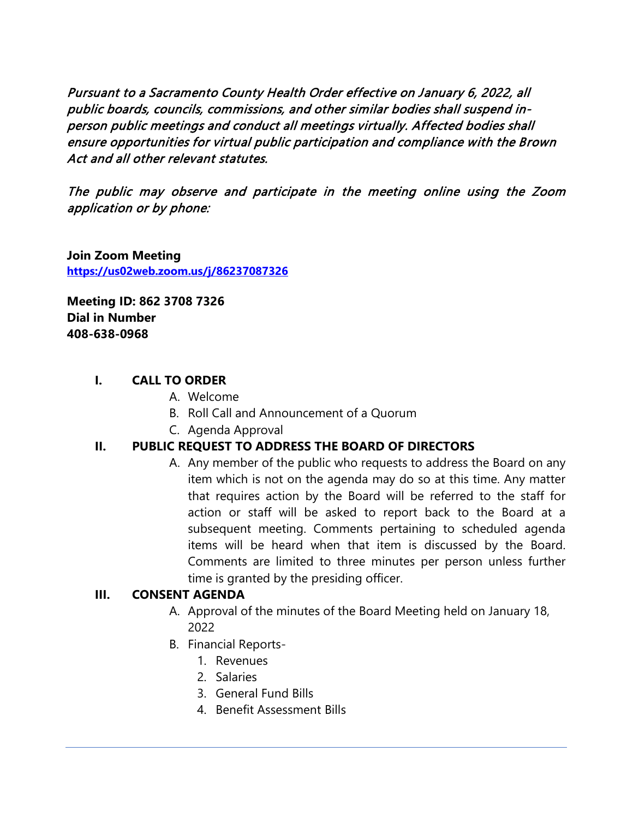Pursuant to a Sacramento County Health Order effective on January 6, 2022, all public boards, councils, commissions, and other similar bodies shall suspend inperson public meetings and conduct all meetings virtually. Affected bodies shall ensure opportunities for virtual public participation and compliance with the Brown Act and all other relevant statutes.

The public may observe and participate in the meeting online using the Zoom application or by phone:

**Join Zoom Meeting <https://us02web.zoom.us/j/86237087326>**

**Meeting ID: 862 3708 7326 Dial in Number 408-638-0968** 

#### **I. CALL TO ORDER**

- A. Welcome
- B. Roll Call and Announcement of a Quorum
- C. Agenda Approval

#### **II. PUBLIC REQUEST TO ADDRESS THE BOARD OF DIRECTORS**

A. Any member of the public who requests to address the Board on any item which is not on the agenda may do so at this time. Any matter that requires action by the Board will be referred to the staff for action or staff will be asked to report back to the Board at a subsequent meeting. Comments pertaining to scheduled agenda items will be heard when that item is discussed by the Board. Comments are limited to three minutes per person unless further time is granted by the presiding officer.

#### **III. CONSENT AGENDA**

- A. Approval of the minutes of the Board Meeting held on January 18, 2022
- B. Financial Reports-
	- 1. Revenues
		- 2. Salaries
		- 3. General Fund Bills
		- 4. Benefit Assessment Bills